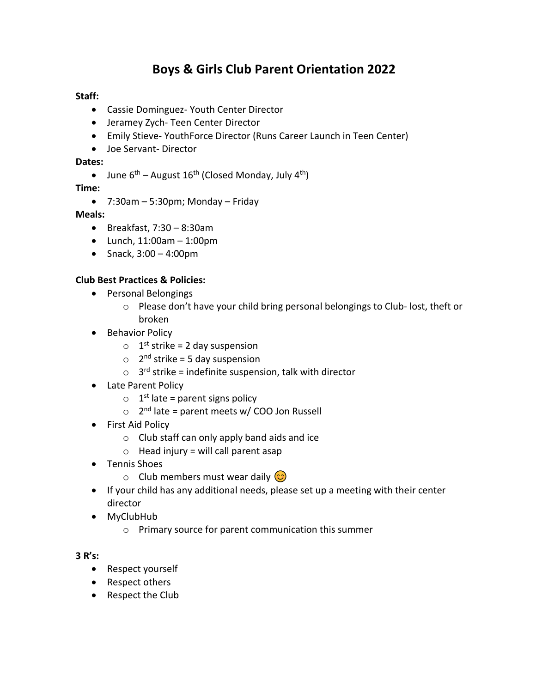# **Boys & Girls Club Parent Orientation 2022**

#### **Staff:**

- Cassie Dominguez- Youth Center Director
- Jeramey Zych- Teen Center Director
- Emily Stieve- YouthForce Director (Runs Career Launch in Teen Center)
- Joe Servant- Director

#### **Dates:**

• June  $6^{th}$  – August 16<sup>th</sup> (Closed Monday, July 4<sup>th</sup>)

**Time:** 

• 7:30am – 5:30pm; Monday – Friday

## **Meals:**

- Breakfast, 7:30 8:30am
- Lunch, 11:00am 1:00pm
- Snack, 3:00 4:00pm

## **Club Best Practices & Policies:**

- Personal Belongings
	- o Please don't have your child bring personal belongings to Club- lost, theft or broken
- Behavior Policy
	- $\circ$  1<sup>st</sup> strike = 2 day suspension
	- $\circ$  2<sup>nd</sup> strike = 5 day suspension
	- $\circ$  3<sup>rd</sup> strike = indefinite suspension, talk with director
- Late Parent Policy
	- $\circ$  1<sup>st</sup> late = parent signs policy
	- o 2<sup>nd</sup> late = parent meets w/ COO Jon Russell
- First Aid Policy
	- o Club staff can only apply band aids and ice
	- $\circ$  Head injury = will call parent asap
- Tennis Shoes
	- o Club members must wear daily  $\circled{c}$
- If your child has any additional needs, please set up a meeting with their center director
- MyClubHub
	- o Primary source for parent communication this summer

## **3 R's:**

- Respect yourself
- Respect others
- Respect the Club